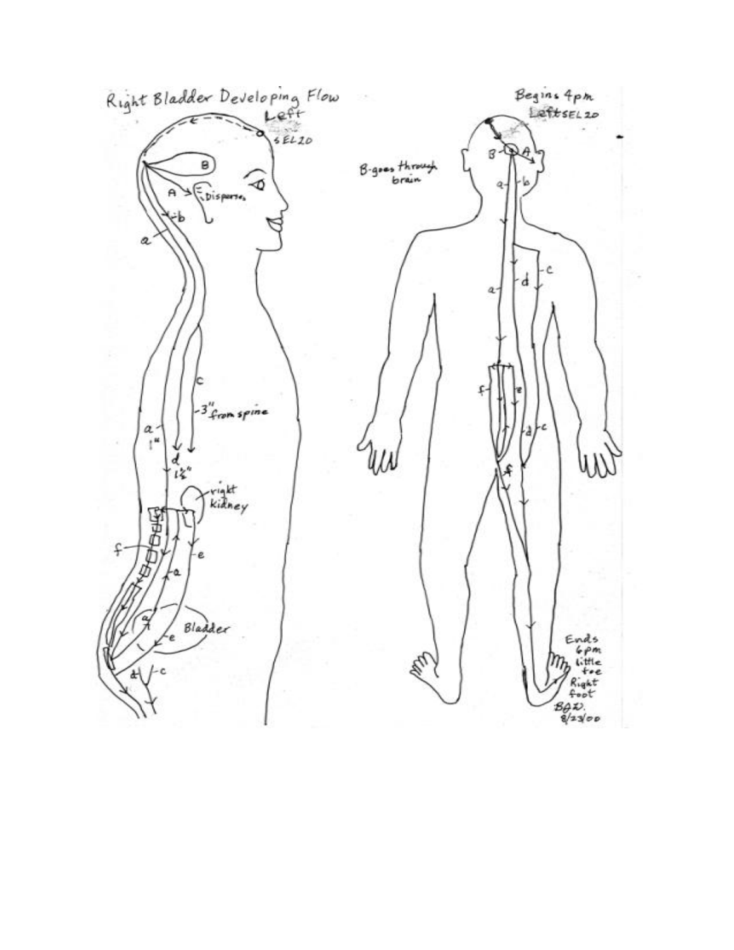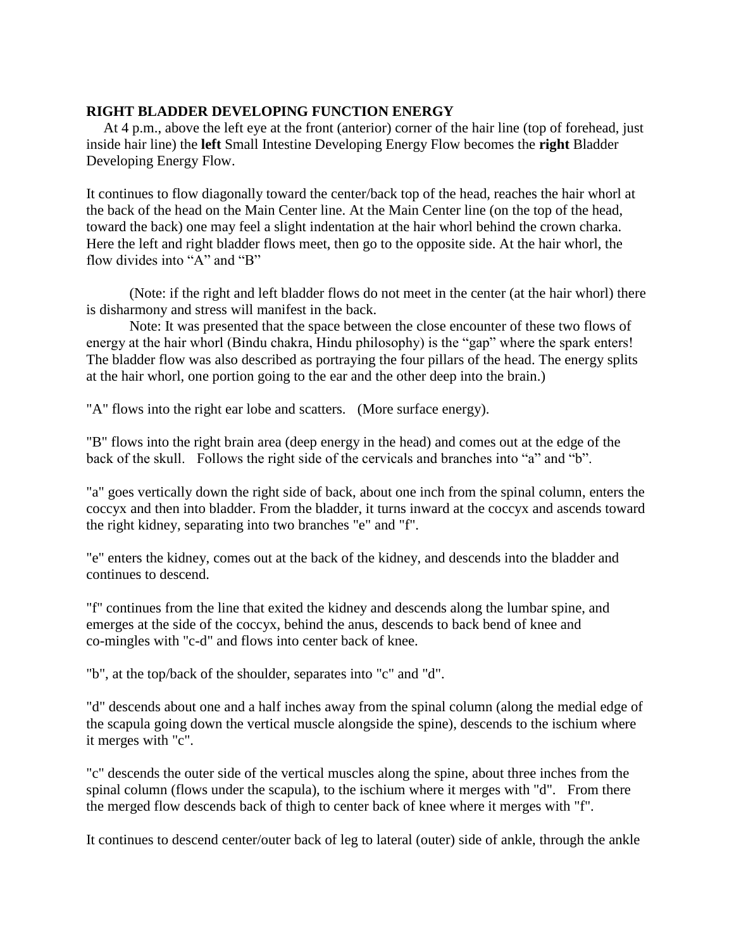## **RIGHT BLADDER DEVELOPING FUNCTION ENERGY**

 At 4 p.m., above the left eye at the front (anterior) corner of the hair line (top of forehead, just inside hair line) the **left** Small Intestine Developing Energy Flow becomes the **right** Bladder Developing Energy Flow.

It continues to flow diagonally toward the center/back top of the head, reaches the hair whorl at the back of the head on the Main Center line. At the Main Center line (on the top of the head, toward the back) one may feel a slight indentation at the hair whorl behind the crown charka. Here the left and right bladder flows meet, then go to the opposite side. At the hair whorl, the flow divides into "A" and "B"

(Note: if the right and left bladder flows do not meet in the center (at the hair whorl) there is disharmony and stress will manifest in the back.

Note: It was presented that the space between the close encounter of these two flows of energy at the hair whorl (Bindu chakra, Hindu philosophy) is the "gap" where the spark enters! The bladder flow was also described as portraying the four pillars of the head. The energy splits at the hair whorl, one portion going to the ear and the other deep into the brain.)

"A" flows into the right ear lobe and scatters. (More surface energy).

"B" flows into the right brain area (deep energy in the head) and comes out at the edge of the back of the skull. Follows the right side of the cervicals and branches into "a" and "b".

"a" goes vertically down the right side of back, about one inch from the spinal column, enters the coccyx and then into bladder. From the bladder, it turns inward at the coccyx and ascends toward the right kidney, separating into two branches "e" and "f".

"e" enters the kidney, comes out at the back of the kidney, and descends into the bladder and continues to descend.

"f" continues from the line that exited the kidney and descends along the lumbar spine, and emerges at the side of the coccyx, behind the anus, descends to back bend of knee and co-mingles with "c-d" and flows into center back of knee.

"b", at the top/back of the shoulder, separates into "c" and "d".

"d" descends about one and a half inches away from the spinal column (along the medial edge of the scapula going down the vertical muscle alongside the spine), descends to the ischium where it merges with "c".

"c" descends the outer side of the vertical muscles along the spine, about three inches from the spinal column (flows under the scapula), to the ischium where it merges with "d". From there the merged flow descends back of thigh to center back of knee where it merges with "f".

It continues to descend center/outer back of leg to lateral (outer) side of ankle, through the ankle